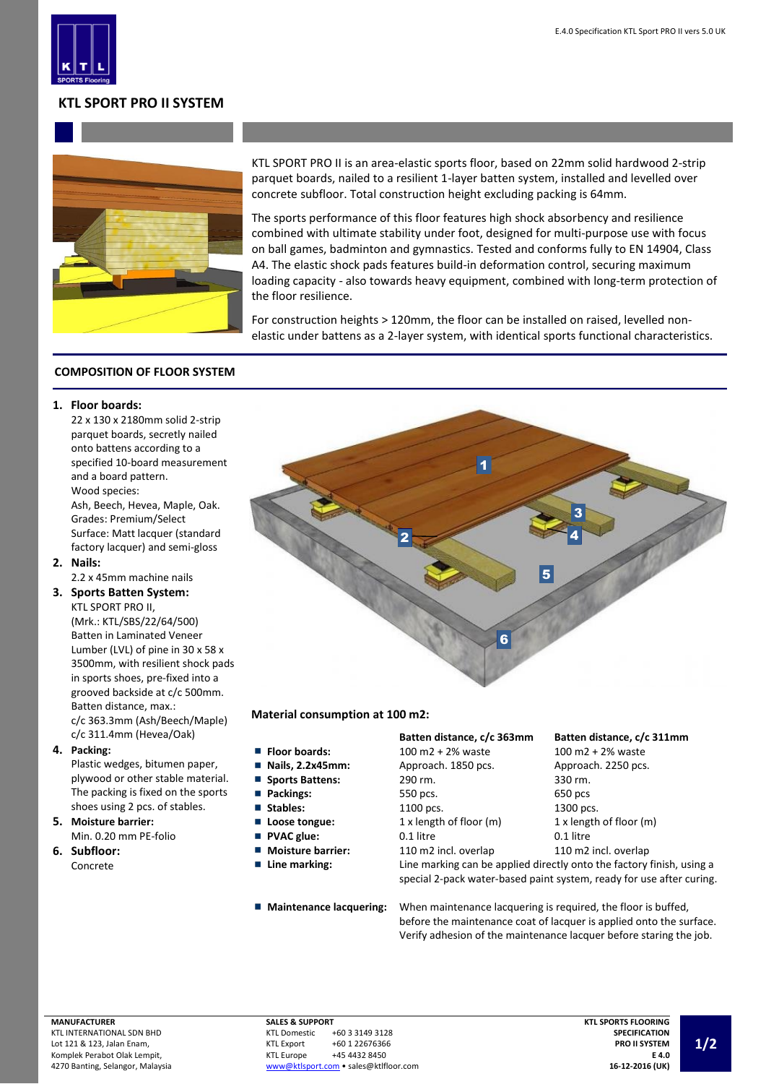

# **KTL SPORT PRO II SYSTEM**



KTL SPORT PRO II is an area-elastic sports floor, based on 22mm solid hardwood 2-strip parquet boards, nailed to a resilient 1-layer batten system, installed and levelled over concrete subfloor. Total construction height excluding packing is 64mm.

The sports performance of this floor features high shock absorbency and resilience combined with ultimate stability under foot, designed for multi-purpose use with focus on ball games, badminton and gymnastics. Tested and conforms fully to EN 14904, Class A4. The elastic shock pads features build-in deformation control, securing maximum loading capacity - also towards heavy equipment, combined with long-term protection of the floor resilience.

For construction heights > 120mm, the floor can be installed on raised, levelled nonelastic under battens as a 2-layer system, with identical sports functional characteristics.

### **COMPOSITION OF FLOOR SYSTEM**

#### **1. Floor boards:**

22 x 130 x 2180mm solid 2-strip parquet boards, secretly nailed onto battens according to a specified 10-board measurement and a board pattern. Wood species:

Ash, Beech, Hevea, Maple, Oak. Grades: Premium/Select Surface: Matt lacquer (standard factory lacquer) and semi-gloss

**2. Nails:** 2.2 x 45mm machine nails

**3. Sports Batten System:** KTL SPORT PRO II,

(Mrk.: KTL/SBS/22/64/500) Batten in Laminated Veneer Lumber (LVL) of pine in 30 x 58 x 3500mm, with resilient shock pads in sports shoes, pre-fixed into a grooved backside at c/c 500mm. Batten distance, max.: c/c 363.3mm (Ash/Beech/Maple) c/c 311.4mm (Hevea/Oak)

**4. Packing:**

Plastic wedges, bitumen paper, plywood or other stable material. The packing is fixed on the sports shoes using 2 pcs. of stables.

- **5. Moisture barrier:** Min. 0.20 mm PE-folio
- **6. Subfloor:** Concrete

1 2 3 5 6 4

### **Material consumption at 100 m2:**

- **Floor boards:**
- **Nails, 2.2x45mm:**  $\overline{\phantom{a}}$
- $\blacksquare$ **Sports Battens:**
- **Packings:**
- 
- **Loose tongue:**
- **PVAC glue:**
- Moisture barrier:
- -

### **Batten distance, c/c 363mm Batten distance, c/c 311mm**

| Floor boards:            | 100 m2 + 2% waste       | 100 m2 + $2%$ waste        |
|--------------------------|-------------------------|----------------------------|
| Nails, 2.2x45mm:         | Approach. 1850 pcs.     | Approach. 2250 pcs.        |
| <b>Sports Battens:</b>   | 290 rm.                 | 330 rm.                    |
| Packings:                | 550 pcs.                | 650 pcs                    |
| Stables:                 | 1100 pcs.               | 1300 pcs.                  |
| Loose tongue:            | 1 x length of floor (m) | $1x$ length of floor $(m)$ |
| <b>PVAC glue:</b>        | 0.1 litre               | 0.1 litre                  |
| <b>Moisture barrier:</b> | 110 m2 incl. overlap    | 110 m2 incl. overlap       |

**Line marking:** Line marking can be applied directly onto the factory finish, using a special 2-pack water-based paint system, ready for use after curing.

**Maintenance lacquering:** When maintenance lacquering is required, the floor is buffed, before the maintenance coat of lacquer is applied onto the surface. Verify adhesion of the maintenance lacquer before staring the job.